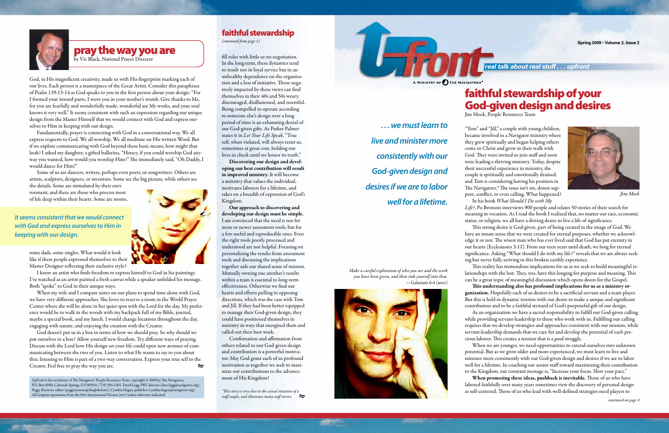# faithful stewardship of your God-given design and desires

Jim Mock, People Resources Team

"Tom" and "Jill," a couple with young children, became involved in a Navigator ministry where they grew spiritually and began helping others come to Christ and grow in their walk with God. They were invited to join staff and soon were leading a thriving ministry. Today, despite their successful experience in ministry, the couple is spiritually and emotionally drained, and Tom is considering leaving his position in The Navigators.\* The issue isn't sin, donor support, conflict, or even calling. What happened? In his book *What Should I Do with My* 

*Life?*, Po Bronson interviews 900 people and relates 50 stories of their search for meaning in vocation. As I read the book I realized that, no matter our race, economic status, or religion, we all have a driving desire to live a life of significance.

This strong desire is God-given, part of being created in the image of God. We have an innate sense that we were created for eternal purposes, whether we acknowledge it or not. The wisest man who has ever lived said that God has put eternity in our hearts (Ecclesiastes 3:11). From our teen years until death, we long for eternal significance. Asking "What should I do with my life?" reveals that we are always seeking but never fully arriving in this broken earthly experience.

This reality has tremendous implications for us as we seek to build meaningful relationships with the lost. They, too, have this longing for purpose and meaning. This can be a great topic of meaningful discussion which opens doors for the Gospel. This understanding also has profound implications for us as a ministry organization. Hopefully each of us desires to be a sacrificial servant and a team player. But this is held in dynamic tension with our desire to make a unique and significant contribution and to be a faithful steward of God's purposeful gift of our design. As an organization we have a sacred responsibility to fulfill our God-given calling while providing servant-leadership to those who work with us. Fulfilling our calling requires that we develop strategies and approaches consistent with our mission, while servant-leadership demands that we care for and develop the potential of each precious laborer. This creates a tension that is a *good* struggle.

When we are younger, we need opportunities to extend ourselves into unknown When promoting these ideas, pushback is inevitable. Those of us who have

potential. But as we grow older and more experienced, we must learn to live and minister more consistently with our God-given design and desires if we are to labor well for a lifetime. In coaching our senior staff toward maximizing their contribution to the Kingdom, our constant message is, "Increase your focus. Slow your pace." labored faithfully over many years sometimes view the discovery of personal design as self-centered. Those of us who lead with well-defined strategies need players to

*. . . we must learn to live and minister more consistently with our God-given design and desires if we are to labor well for a lifetime.* 

**Spring 2009 • Volume 3, Issue 2**



*Make a careful exploration of who you are and the work you have been given, and then sink yourself into that.*  —Galatians 6:4 (msg)



*continued on page 4*

fill roles with little or no negotiation. In the long term, these dynamics tend to result not in loyal service but in an unhealthy dependence on the organization and a loss of initiative. Those negatively impacted by these views can find themselves in their 40s and 50s weary, discouraged, disillusioned, and resentful. Being compelled to operate according to someone else's design over a long period of time is an exhausting denial of our God-given gifts. As Parker Palmer states it in *Let Your Life Speak*, "True self, when violated, will always resist us, sometimes at great cost, holding our lives in check until we honor its truth."

Discovering our design and developing our best contribution will result in improved ministry. It will become a ministry that values the individual, motivates laborers for a lifetime, and takes on a breadth of expression of God's Kingdom.

Our approach to discovering and developing our design must be simple. I am convinced that the need is not for more or newer assessment tools, but for a few useful and reproducible ones. Even the right tools poorly processed and understood are not helpful. Focusing on personalizing the results from assessment tools and discussing the implications together aids our shared sense of mission. Mutually owning one another's results within a team is essential to long-term effectiveness. Otherwise we find our hearts and efforts pulling in opposing directions, which was the case with Tom and Jill. If they had been better equipped to manage their God-given design, they could have positioned themselves in ministry in ways that energized them and called out their best work.

Confirmation and affirmation from others related to our God-given design and contribution is a powerful motivator. May God grant each of us profound motivation as together we seek to maximize our contributions to the advancement of His Kingdom!

*\*This story is very close to the actual situation of a staff couple, and illustrates many staff stories.*

God, in His magnificent creativity, made us with His fingerprint marking each of our lives. Each person is a masterpiece of the Great Artist. Consider this paraphrase of Psalm 139:13-14 as God speaks to you in the first person about your design: "For I formed your inward parts; I wove you in your mother's womb. Give thanks to Me, for you are fearfully and wonderfully made; wonderful are My works, and your soul knows it very well." It seems consistent with such an expression regarding our unique design from the Master Himself that we would connect with God and express ourselves to Him in keeping with our design.

Fundamentally, prayer is connecting with God in a conversational way. We all express requests to God. We all worship. We all meditate on His written Word. But if we explore communicating with God beyond these basic means, how might that look? I asked my daughter, a gifted ballerina, "Honey, if you could worship God anyway you wanted, how would you worship Him?" She immediately said, "Oh Daddy, I would dance for Him!"

Some of us are dancers, writers, perhaps even poets, or songwriters. Others are artists, sculptors, designers, or inventors. Some see the big picture, while others see

the details. Some are stimulated by their environment, and there are those who process most of life deep within their hearts. Some are moms,

some dads, some singles. What would it look like if these people expressed themselves to their Master Designer reflecting their exclusive style?

I know an artist who finds freedom to express himself to God in his paintings. I've watched as an artist painted a fresh canvas while a speaker unfolded his message. Both "spoke" to God in their unique ways.

When my wife and I compare notes on our plans to spend time alone with God, we have very different approaches. She loves to reserve a room in the World Prayer Center where she will be alone in her quiet spot with the Lord for the day. My preference would be to walk in the woods with my backpack full of my Bible, journal, maybe a special book, and my lunch. I would change locations throughout the day, engaging with nature, and enjoying the creation with the Creator.

God doesn't put us in a box in terms of how we should pray. So why should we put ourselves in a box? Allow yourself new freedom. Try different ways of praying. Discuss with the Lord how His design on your life could open new avenues of communicating between the two of you. Listen to what He wants to say to you about this; listening to Him is part of a two-way conversation. Express your true self to the Creator. Feel free to pray the way you are.

*UpFront* is the newsletter of The Navigators' People Resources Team, copyright © 2009 by The Navigators, P.O. Box 6000, Colorado Springs, CO 80934; (719) 594-2301. David Legg, PRT director (dave.legg@navigators.org); Peggy Reynoso, editor (peggyreynoso@sbcglobal.net); Cynthia Hagen, publisher (cynthia.hagen@navigators.org). All Scripture quotations from the New International Version (niv) unless otherwise indicated.

### faithful stewardship

*(continued from page 1)*



*Jim Mock*



## pray the way you are

by Vic Black, National Prayer Director

*It seems consistent that we would connect with God and express ourselves to Him in keeping with our design.*